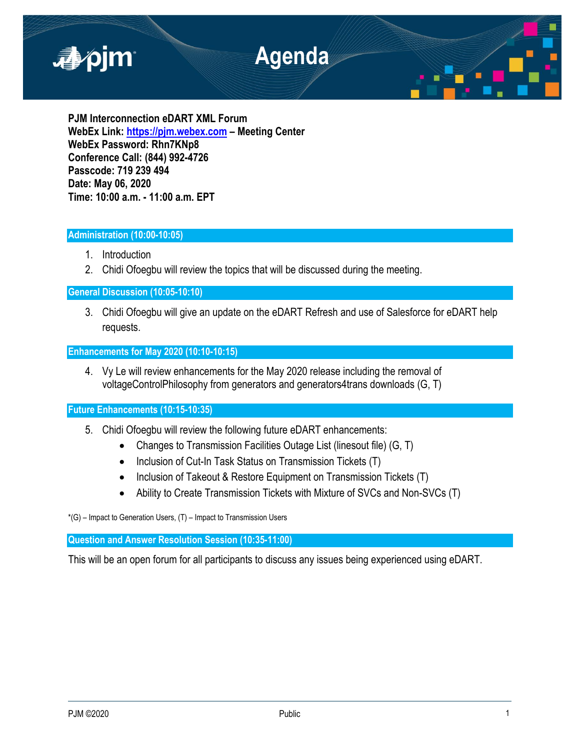

**PJM Interconnection eDART XML Forum WebEx Link: [https://pjm.webex.com](https://pjm.webex.com/) – Meeting Center WebEx Password: Rhn7KNp8 Conference Call: (844) 992-4726 Passcode: 719 239 494 Date: May 06, 2020 Time: 10:00 a.m. - 11:00 a.m. EPT**

# **Administration (10:00-10:05)**

- 1. Introduction
- 2. Chidi Ofoegbu will review the topics that will be discussed during the meeting.

**General Discussion (10:05-10:10)**

3. Chidi Ofoegbu will give an update on the eDART Refresh and use of Salesforce for eDART help requests.

**Enhancements for May 2020 (10:10-10:15)**

4. Vy Le will review enhancements for the May 2020 release including the removal of voltageControlPhilosophy from generators and generators4trans downloads (G, T)

**Future Enhancements (10:15-10:35)**

- 5. Chidi Ofoegbu will review the following future eDART enhancements:
	- Changes to Transmission Facilities Outage List (linesout file) (G, T)
	- Inclusion of Cut-In Task Status on Transmission Tickets (T)
	- Inclusion of Takeout & Restore Equipment on Transmission Tickets (T)
	- Ability to Create Transmission Tickets with Mixture of SVCs and Non-SVCs (T)

\*(G) – Impact to Generation Users, (T) – Impact to Transmission Users

**Question and Answer Resolution Session (10:35-11:00)**

This will be an open forum for all participants to discuss any issues being experienced using eDART.